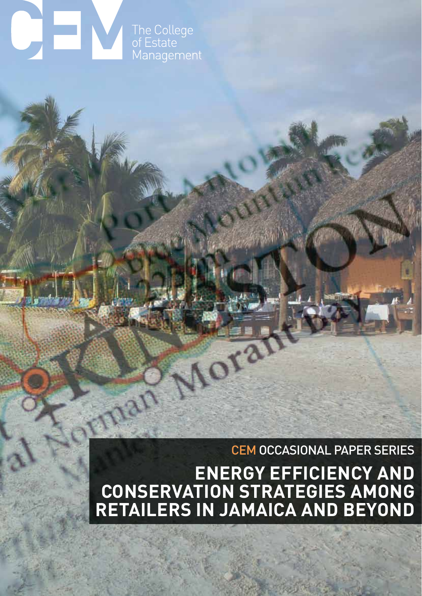# The College<br>of Estate<br>Management

CEM OCCASIONAL PAPER SERIES **ENERGY EFFICIENCY AND CONSERVATION STRATEGIES AMONG RETAILERS IN JAMAICA AND BEYOND**

 $o^{r^2}$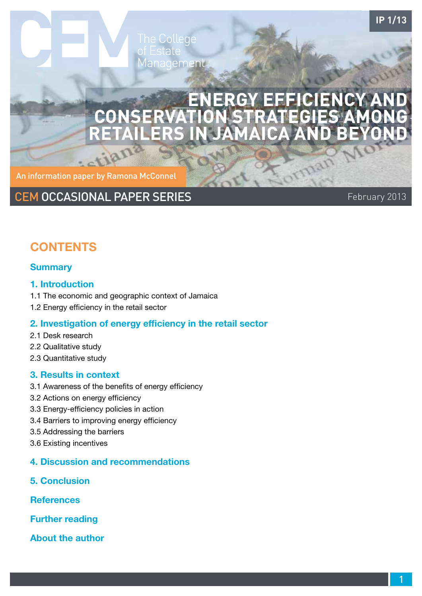The College Estate Management

## **EFFICI** ENCY R CN. CONSER

An information paper by Ramona McConnel

# CEM OCCASIONAL PAPER SERIES **February 2013**

**IP 1/13**

# **CONTENTS**

## **Summary**

## 1. Introduction

- 1.1 The economic and geographic context of Jamaica
- 1.2 Energy efficiency in the retail sector

## 2. Investigation of energy efficiency in the retail sector

- 2.1 Desk research
- 2.2 Qualitative study
- 2.3 Quantitative study

## 3. Results in context

- 3.1 Awareness of the benefits of energy efficiency
- 3.2 Actions on energy efficiency
- 3.3 Energy-efficiency policies in action
- 3.4 Barriers to improving energy efficiency
- 3.5 Addressing the barriers
- 3.6 Existing incentives

## 4. Discussion and recommendations

5. Conclusion

**References** 

Further reading

About the author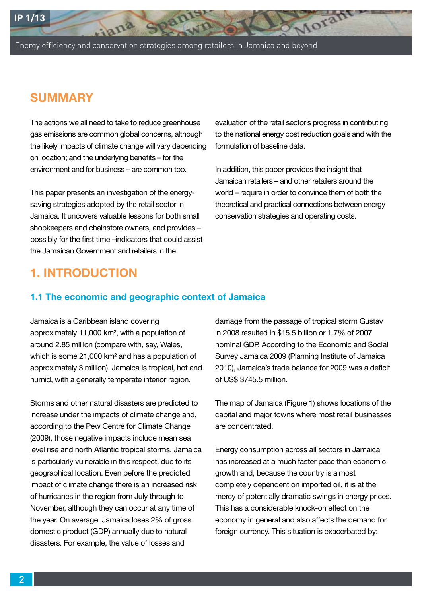## **SUMMARY**

The actions we all need to take to reduce greenhouse gas emissions are common global concerns, although the likely impacts of climate change will vary depending on location; and the underlying benefits  $-$  for the environment and for business – are common too.

This paper presents an investigation of the energysaving strategies adopted by the retail sector in Jamaica. It uncovers valuable lessons for both small shopkeepers and chainstore owners, and provides – possibly for the first time –indicators that could assist the Jamaican Government and retailers in the

evaluation of the retail sector's progress in contributing to the national energy cost reduction goals and with the formulation of baseline data.

In addition, this paper provides the insight that Jamaican retailers – and other retailers around the world – require in order to convince them of both the theoretical and practical connections between energy conservation strategies and operating costs.

## 1. INTRODUCTION

#### 1.1 The economic and geographic context of Jamaica

Jamaica is a Caribbean island covering approximately 11,000 km², with a population of around 2.85 million (compare with, say, Wales, which is some 21,000 km² and has a population of approximately 3 million). Jamaica is tropical, hot and humid, with a generally temperate interior region.

Storms and other natural disasters are predicted to increase under the impacts of climate change and, according to the Pew Centre for Climate Change (2009), those negative impacts include mean sea level rise and north Atlantic tropical storms. Jamaica is particularly vulnerable in this respect, due to its geographical location. Even before the predicted impact of climate change there is an increased risk of hurricanes in the region from July through to November, although they can occur at any time of the year. On average, Jamaica loses 2% of gross domestic product (GDP) annually due to natural disasters. For example, the value of losses and

damage from the passage of tropical storm Gustav in 2008 resulted in \$15.5 billion or 1.7% of 2007 nominal GDP. According to the Economic and Social Survey Jamaica 2009 (Planning Institute of Jamaica 2010), Jamaica's trade balance for 2009 was a deficit of US\$ 3745.5 million.

The map of Jamaica (Figure 1) shows locations of the capital and major towns where most retail businesses are concentrated.

Energy consumption across all sectors in Jamaica has increased at a much faster pace than economic growth and, because the country is almost completely dependent on imported oil, it is at the mercy of potentially dramatic swings in energy prices. This has a considerable knock-on effect on the economy in general and also affects the demand for foreign currency. This situation is exacerbated by: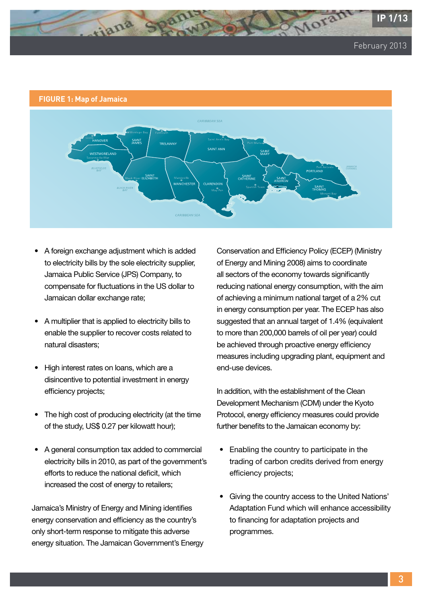oran



• A foreign exchange adjustment which is added to electricity bills by the sole electricity supplier, Jamaica Public Service (JPS) Company, to compensate for fluctuations in the US dollar to Jamaican dollar exchange rate;

riana

- A multiplier that is applied to electricity bills to enable the supplier to recover costs related to natural disasters;
- High interest rates on loans, which are a disincentive to potential investment in energy efficiency projects:
- The high cost of producing electricity (at the time of the study, US\$ 0.27 per kilowatt hour);
- A general consumption tax added to commercial electricity bills in 2010, as part of the government's efforts to reduce the national deficit, which increased the cost of energy to retailers;

Jamaica's Ministry of Energy and Mining identifies energy conservation and efficiency as the country's only short-term response to mitigate this adverse energy situation. The Jamaican Government's Energy Conservation and Efficiency Policy (ECEP) (Ministry of Energy and Mining 2008) aims to coordinate all sectors of the economy towards significantly reducing national energy consumption, with the aim of achieving a minimum national target of a 2% cut in energy consumption per year. The ECEP has also suggested that an annual target of 1.4% (equivalent to more than 200,000 barrels of oil per year) could be achieved through proactive energy efficiency measures including upgrading plant, equipment and end-use devices.

In addition, with the establishment of the Clean Development Mechanism (CDM) under the Kyoto Protocol, energy efficiency measures could provide further benefits to the Jamaican economy by:

- Enabling the country to participate in the trading of carbon credits derived from energy efficiency projects;
- Giving the country access to the United Nations' Adaptation Fund which will enhance accessibility to financing for adaptation projects and programmes.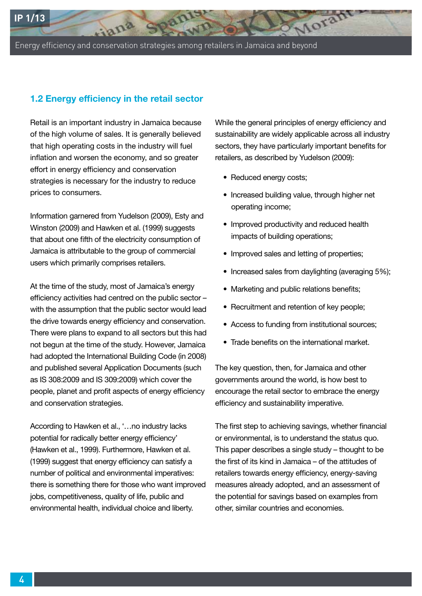#### 1.2 Energy efficiency in the retail sector

Retail is an important industry in Jamaica because of the high volume of sales. It is generally believed that high operating costs in the industry will fuel inflation and worsen the economy, and so greater effort in energy efficiency and conservation strategies is necessary for the industry to reduce prices to consumers.

Information garnered from Yudelson (2009), Esty and Winston (2009) and Hawken et al. (1999) suggests that about one fifth of the electricity consumption of Jamaica is attributable to the group of commercial users which primarily comprises retailers.

At the time of the study, most of Jamaica's energy efficiency activities had centred on the public sector with the assumption that the public sector would lead the drive towards energy efficiency and conservation. There were plans to expand to all sectors but this had not begun at the time of the study. However, Jamaica had adopted the International Building Code (in 2008) and published several Application Documents (such as IS 308:2009 and IS 309:2009) which cover the people, planet and profit aspects of energy efficiency and conservation strategies.

According to Hawken et al., '…no industry lacks potential for radically better energy efficiency' (Hawken et al., 1999). Furthermore, Hawken et al. (1999) suggest that energy efficiency can satisfy a number of political and environmental imperatives: there is something there for those who want improved jobs, competitiveness, quality of life, public and environmental health, individual choice and liberty.

While the general principles of energy efficiency and sustainability are widely applicable across all industry sectors, they have particularly important benefits for retailers, as described by Yudelson (2009):

- Reduced energy costs;
- Increased building value, through higher net operating income;
- Improved productivity and reduced health impacts of building operations;
- Improved sales and letting of properties:
- Increased sales from daylighting (averaging 5%);
- Marketing and public relations benefits;
- Recruitment and retention of key people;
- Access to funding from institutional sources;
- Trade benefits on the international market.

The key question, then, for Jamaica and other governments around the world, is how best to encourage the retail sector to embrace the energy efficiency and sustainability imperative.

The first step to achieving savings, whether financial or environmental, is to understand the status quo. This paper describes a single study – thought to be the first of its kind in Jamaica – of the attitudes of retailers towards energy efficiency, energy-saving measures already adopted, and an assessment of the potential for savings based on examples from other, similar countries and economies.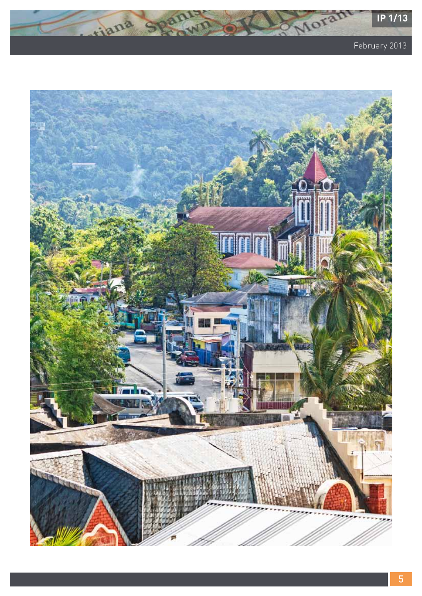

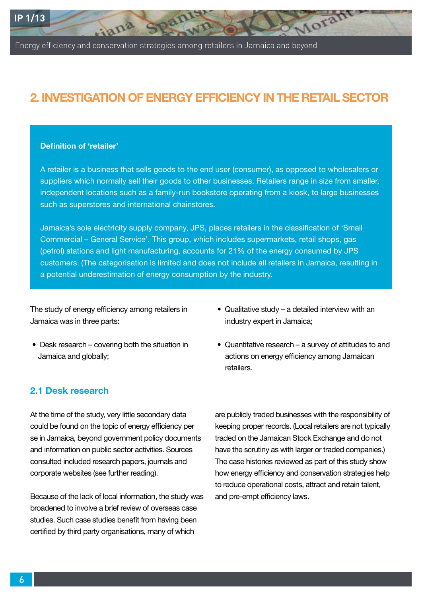# 2. INVESTIGATION OF ENERGY EFFICIENCY IN THE RETAIL SECTOR

#### Definition of 'retailer'

A retailer is a business that sells goods to the end user (consumer), as opposed to wholesalers or suppliers which normally sell their goods to other businesses. Retailers range in size from smaller, independent locations such as a family-run bookstore operating from a kiosk, to large businesses such as superstores and international chainstores.

Jamaica's sole electricity supply company, JPS, places retailers in the classification of 'Small Commercial – General Service'. This group, which includes supermarkets, retail shops, gas (petrol) stations and light manufacturing, accounts for 21% of the energy consumed by JPS customers. (The categorisation is limited and does not include all retailers in Jamaica, resulting in a potential underestimation of energy consumption by the industry.

The study of energy efficiency among retailers in Jamaica was in three parts:

• Desk research – covering both the situation in Jamaica and globally;

#### 2.1 Desk research

At the time of the study, very little secondary data could be found on the topic of energy efficiency per se in Jamaica, beyond government policy documents and information on public sector activities. Sources consulted included research papers, journals and corporate websites (see further reading).

Because of the lack of local information, the study was broadened to involve a brief review of overseas case studies. Such case studies benefit from having been certified by third party organisations, many of which

- Qualitative study a detailed interview with an industry expert in Jamaica;
- Quantitative research a survey of attitudes to and actions on energy efficiency among Jamaican retailers.

are publicly traded businesses with the responsibility of keeping proper records. (Local retailers are not typically traded on the Jamaican Stock Exchange and do not have the scrutiny as with larger or traded companies.) The case histories reviewed as part of this study show how energy efficiency and conservation strategies help to reduce operational costs, attract and retain talent, and pre-empt efficiency laws.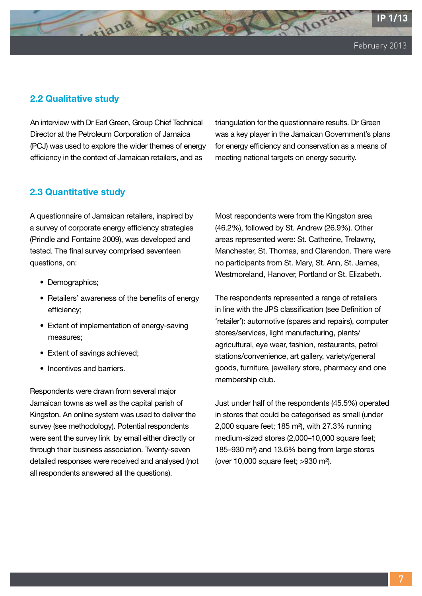### 2.2 Qualitative study

An interview with Dr Earl Green, Group Chief Technical Director at the Petroleum Corporation of Jamaica (PCJ) was used to explore the wider themes of energy efficiency in the context of Jamaican retailers, and as

2.3 Quantitative study

A questionnaire of Jamaican retailers, inspired by a survey of corporate energy efficiency strategies (Prindle and Fontaine 2009), was developed and tested. The final survey comprised seventeen questions, on:

- Demographics;
- Retailers' awareness of the benefits of energy efficiency;
- Extent of implementation of energy-saving measures;
- Extent of savings achieved;
- Incentives and barriers.

Respondents were drawn from several major Jamaican towns as well as the capital parish of Kingston. An online system was used to deliver the survey (see methodology). Potential respondents were sent the survey link by email either directly or through their business association. Twenty-seven detailed responses were received and analysed (not all respondents answered all the questions).

triangulation for the questionnaire results. Dr Green was a key player in the Jamaican Government's plans for energy efficiency and conservation as a means of meeting national targets on energy security.

Most respondents were from the Kingston area (46.2%), followed by St. Andrew (26.9%). Other areas represented were: St. Catherine, Trelawny, Manchester, St. Thomas, and Clarendon. There were no participants from St. Mary, St. Ann, St. James, Westmoreland, Hanover, Portland or St. Elizabeth.

The respondents represented a range of retailers in line with the JPS classification (see Definition of 'retailer'): automotive (spares and repairs), computer stores/services, light manufacturing, plants/ agricultural, eye wear, fashion, restaurants, petrol stations/convenience, art gallery, variety/general goods, furniture, jewellery store, pharmacy and one membership club.

Just under half of the respondents (45.5%) operated in stores that could be categorised as small (under 2,000 square feet; 185 m²), with 27.3% running medium-sized stores (2,000–10,000 square feet; 185–930 m²) and 13.6% being from large stores (over 10,000 square feet; >930 m²).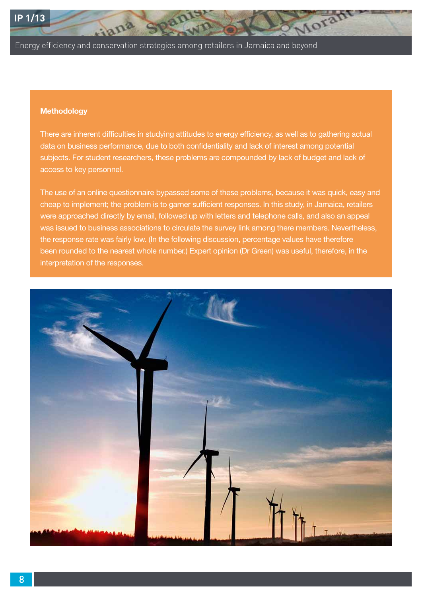ian

#### **Methodology**

There are inherent difficulties in studying attitudes to energy efficiency, as well as to gathering actual data on business performance, due to both confidentiality and lack of interest among potential subjects. For student researchers, these problems are compounded by lack of budget and lack of access to key personnel.

The use of an online questionnaire bypassed some of these problems, because it was quick, easy and cheap to implement; the problem is to garner sufficient responses. In this study, in Jamaica, retailers were approached directly by email, followed up with letters and telephone calls, and also an appeal was issued to business associations to circulate the survey link among there members. Nevertheless, the response rate was fairly low. (In the following discussion, percentage values have therefore been rounded to the nearest whole number.) Expert opinion (Dr Green) was useful, therefore, in the interpretation of the responses.

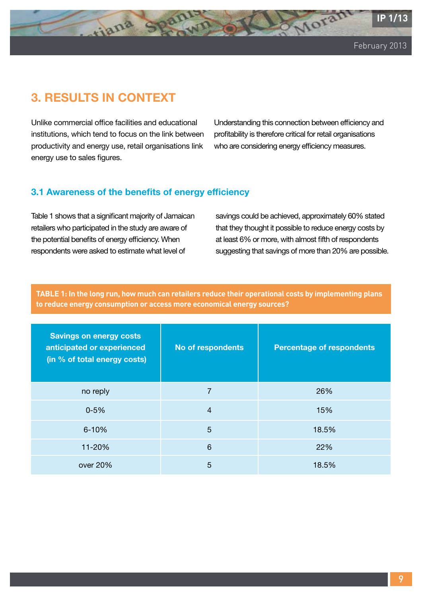# 3. RESULTS IN CONTEXT

riana

Unlike commercial office facilities and educational institutions, which tend to focus on the link between productivity and energy use, retail organisations link energy use to sales figures.

Understanding this connection between efficiency and profitability is therefore critical for retail organisations who are considering energy efficiency measures.

## 3.1 Awareness of the benefits of energy efficiency

Table 1 shows that a significant majority of Jamaican retailers who participated in the study are aware of the potential benefits of energy efficiency. When respondents were asked to estimate what level of

savings could be achieved, approximately 60% stated that they thought it possible to reduce energy costs by at least 6% or more, with almost fifth of respondents suggesting that savings of more than 20% are possible.

**TABLE 1: In the long run, how much can retailers reduce their operational costs by implementing plans to reduce energy consumption or access more economical energy sources?**

| <b>Savings on energy costs</b><br>anticipated or experienced<br>(in % of total energy costs) | No of respondents | <b>Percentage of respondents</b> |
|----------------------------------------------------------------------------------------------|-------------------|----------------------------------|
| no reply                                                                                     | 7                 | 26%                              |
| $0 - 5%$                                                                                     | $\overline{4}$    | 15%                              |
| $6 - 10%$                                                                                    | 5                 | 18.5%                            |
| 11-20%                                                                                       | 6                 | 22%                              |
| over 20%                                                                                     | 5                 | 18.5%                            |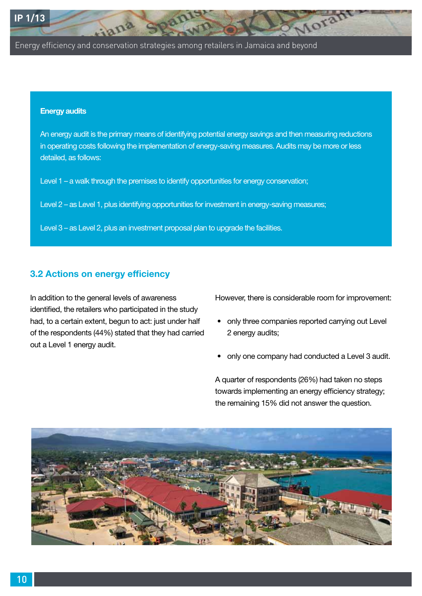**IP 1/13**

Energy efficiency and conservation strategies among retailers in Jamaica and beyond

#### Energy audits

An energy audit is the primary means of identifying potential energy savings and then measuring reductions in operating costs following the implementation of energy-saving measures. Audits may be more or less detailed, as follows:

Level 1 – a walk through the premises to identify opportunities for energy conservation;

Level 2 – as Level 1, plus identifying opportunities for investment in energy-saving measures;

Level 3 – as Level 2, plus an investment proposal plan to upgrade the facilities.

#### 3.2 Actions on energy efficiency

In addition to the general levels of awareness identified, the retailers who participated in the study had, to a certain extent, begun to act: just under half of the respondents (44%) stated that they had carried out a Level 1 energy audit.

However, there is considerable room for improvement:

- only three companies reported carrying out Level 2 energy audits;
- only one company had conducted a Level 3 audit.

A quarter of respondents (26%) had taken no steps towards implementing an energy efficiency strategy; the remaining 15% did not answer the question.

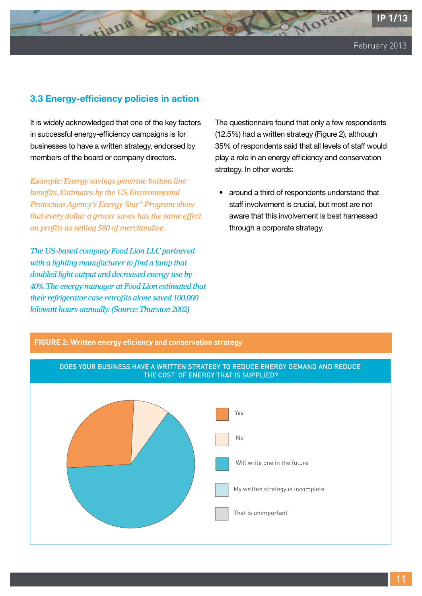## 3.3 Energy-efficiency policies in action

rian

It is widely acknowledged that one of the key factors in successful energy-efficiency campaigns is for businesses to have a written strategy, endorsed by members of the board or company directors.

*Example: Energy savings generate bottom line bene ts. Estimates by the US Environmental Protection Agency's Energy Star® Program show that every dollar a grocer saves has the same effect on profits as selling \$80 of merchandise.* 

*The US-based company Food Lion LLC partnered*  with a lighting manufacturer to find a lamp that *doubled light output and decreased energy use by 40%. The energy manager at Food Lion estimated that their refrigerator case retrofits alone saved 100,000 kilowatt hours annually. (Source: Thurston 2002)*

The questionnaire found that only a few respondents (12.5%) had a written strategy (Figure 2), although 35% of respondents said that all levels of staff would play a role in an energy efficiency and conservation strategy. In other words:

• around a third of respondents understand that staff involvement is crucial, but most are not aware that this involvement is best harnessed through a corporate strategy.

#### **FIGURE 2: Written energy eficiency and conservation strategy**

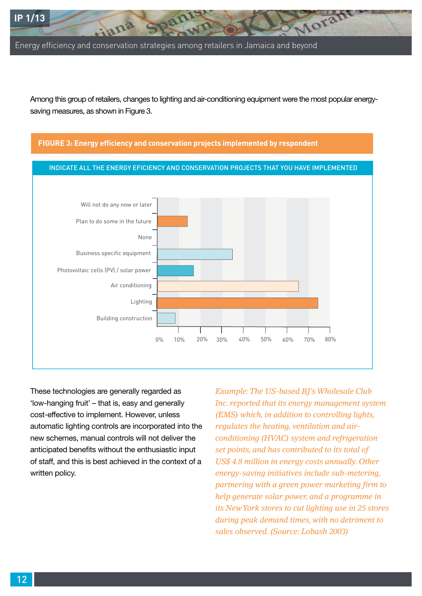Among this group of retailers, changes to lighting and air-conditioning equipment were the most popular energysaving measures, as shown in Figure 3.



These technologies are generally regarded as 'low-hanging fruit' – that is, easy and generally cost-effective to implement. However, unless automatic lighting controls are incorporated into the new schemes, manual controls will not deliver the anticipated benefits without the enthusiastic input of staff, and this is best achieved in the context of a written policy.

*Example: The US-based BJ's Wholesale Club Inc. reported that its energy management system (EMS) which, in addition to controlling lights, regulates the heating, ventilation and airconditioning (HVAC) system and refrigeration set points, and has contributed to its total of US\$ 4.8 million in energy costs annually. Other energy-saving initiatives include sub-metering, partnering with a green power marketing firm to help generate solar power, and a programme in its New York stores to cut lighting use in 25 stores during peak demand times, with no detriment to sales observed. (Source: Lobash 2003)*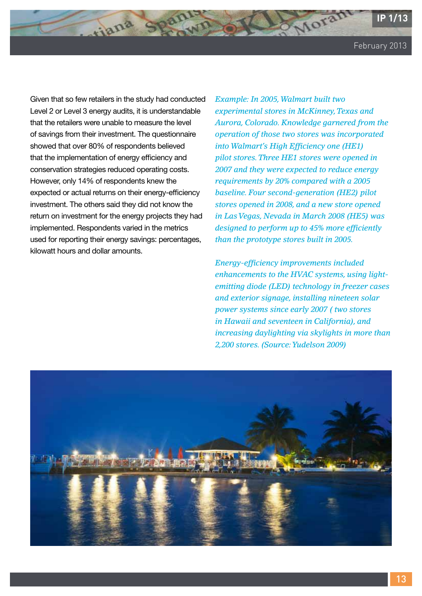Given that so few retailers in the study had conducted Level 2 or Level 3 energy audits, it is understandable that the retailers were unable to measure the level of savings from their investment. The questionnaire showed that over 80% of respondents believed that the implementation of energy efficiency and conservation strategies reduced operating costs. However, only 14% of respondents knew the expected or actual returns on their energy-efficiency investment. The others said they did not know the return on investment for the energy projects they had implemented. Respondents varied in the metrics used for reporting their energy savings: percentages, kilowatt hours and dollar amounts.

rian

*Example: In 2005, Walmart built two experimental stores in McKinney, Texas and Aurora, Colorado. Knowledge garnered from the operation of those two stores was incorporated into Walmart's High Efficiency one (HE1) pilot stores. Three HE1 stores were opened in 2007 and they were expected to reduce energy requirements by 20% compared with a 2005 baseline. Four second-generation (HE2) pilot stores opened in 2008, and a new store opened in Las Vegas, Nevada in March 2008 (HE5) was designed to perform up to 45% more efficiently than the prototype stores built in 2005.* 

*Energy-efficiency improvements included enhancements to the HVAC systems, using lightemitting diode (LED) technology in freezer cases and exterior signage, installing nineteen solar power systems since early 2007 ( two stores in Hawaii and seventeen in California), and increasing daylighting via skylights in more than 2,200 stores. (Source: Yudelson 2009)*

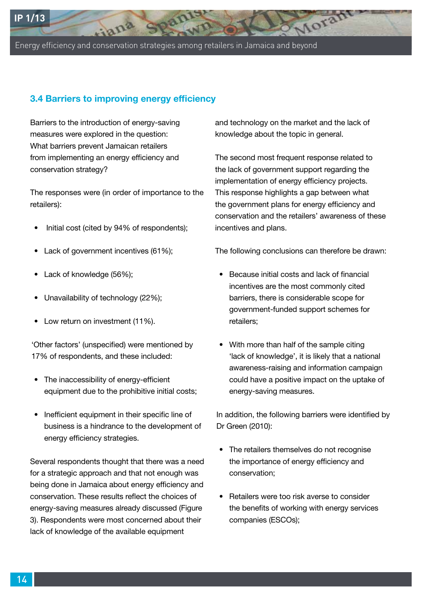## 3.4 Barriers to improving energy efficiency

Barriers to the introduction of energy-saving measures were explored in the question: What barriers prevent Jamaican retailers from implementing an energy efficiency and conservation strategy?

The responses were (in order of importance to the retailers):

- Initial cost (cited by 94% of respondents);
- Lack of government incentives (61%);
- Lack of knowledge (56%);
- Unavailability of technology (22%);
- Low return on investment (11%).

'Other factors' (unspecified) were mentioned by 17% of respondents, and these included:

- The inaccessibility of energy-efficient equipment due to the prohibitive initial costs;
- Inefficient equipment in their specific line of business is a hindrance to the development of energy efficiency strategies.

Several respondents thought that there was a need for a strategic approach and that not enough was being done in Jamaica about energy efficiency and conservation. These results reflect the choices of energy-saving measures already discussed (Figure 3). Respondents were most concerned about their lack of knowledge of the available equipment

and technology on the market and the lack of knowledge about the topic in general.

The second most frequent response related to the lack of government support regarding the implementation of energy efficiency projects. This response highlights a gap between what the government plans for energy efficiency and conservation and the retailers' awareness of these incentives and plans.

The following conclusions can therefore be drawn:

- Because initial costs and lack of financial incentives are the most commonly cited barriers, there is considerable scope for government-funded support schemes for retailers;
- With more than half of the sample citing 'lack of knowledge', it is likely that a national awareness-raising and information campaign could have a positive impact on the uptake of energy-saving measures.

In addition, the following barriers were identified by Dr Green (2010):

- The retailers themselves do not recognise the importance of energy efficiency and conservation;
- Retailers were too risk averse to consider the benefits of working with energy services companies (ESCOs);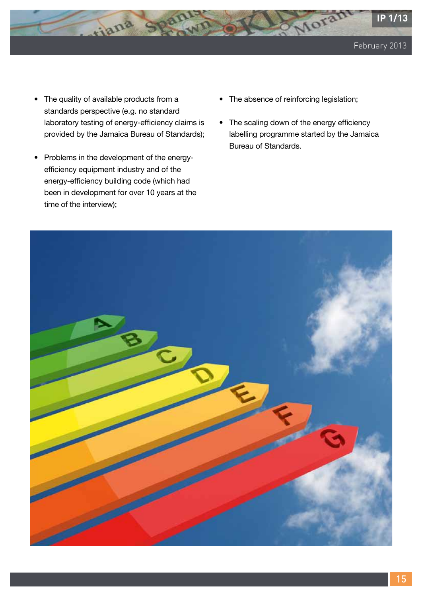• The quality of available products from a standards perspective (e.g. no standard laboratory testing of energy-efficiency claims is provided by the Jamaica Bureau of Standards);

rian

- Problems in the development of the energyefficiency equipment industry and of the energy-efficiency building code (which had been in development for over 10 years at the time of the interview);
- The absence of reinforcing legislation;
- The scaling down of the energy efficiency labelling programme started by the Jamaica Bureau of Standards.

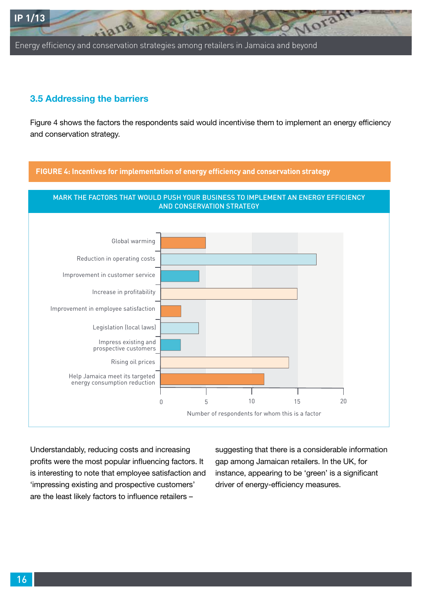**IP 1/13**

Energy efficiency and conservation strategies among retailers in Jamaica and beyond

## 3.5 Addressing the barriers

Figure 4 shows the factors the respondents said would incentivise them to implement an energy efficiency and conservation strategy.





Understandably, reducing costs and increasing profits were the most popular influencing factors. It is interesting to note that employee satisfaction and 'impressing existing and prospective customers' are the least likely factors to influence retailers -

suggesting that there is a considerable information gap among Jamaican retailers. In the UK, for instance, appearing to be 'green' is a significant driver of energy-efficiency measures.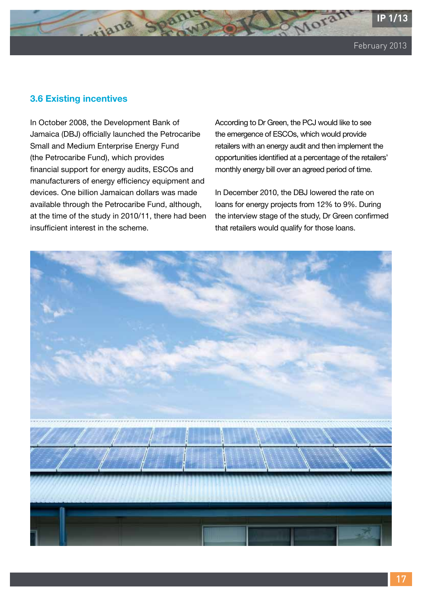#### 3.6 Existing incentives

In October 2008, the Development Bank of Jamaica (DBJ) officially launched the Petrocaribe Small and Medium Enterprise Energy Fund (the Petrocaribe Fund), which provides financial support for energy audits, ESCOs and manufacturers of energy efficiency equipment and devices. One billion Jamaican dollars was made available through the Petrocaribe Fund, although, at the time of the study in 2010/11, there had been insufficient interest in the scheme.

rian

According to Dr Green, the PCJ would like to see the emergence of ESCOs, which would provide retailers with an energy audit and then implement the opportunities identified at a percentage of the retailers' monthly energy bill over an agreed period of time.

In December 2010, the DBJ lowered the rate on loans for energy projects from 12% to 9%. During the interview stage of the study, Dr Green confirmed that retailers would qualify for those loans.

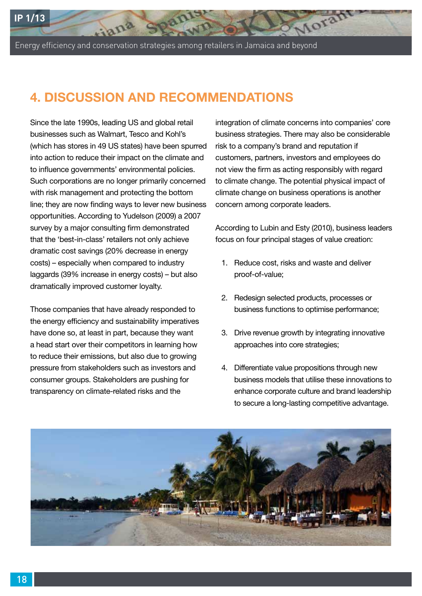# 4. DISCUSSION AND RECOMMENDATIONS

Since the late 1990s, leading US and global retail businesses such as Walmart, Tesco and Kohl's (which has stores in 49 US states) have been spurred into action to reduce their impact on the climate and to influence governments' environmental policies. Such corporations are no longer primarily concerned with risk management and protecting the bottom line; they are now finding ways to lever new business opportunities. According to Yudelson (2009) a 2007 survey by a major consulting firm demonstrated that the 'best-in-class' retailers not only achieve dramatic cost savings (20% decrease in energy costs) – especially when compared to industry laggards (39% increase in energy costs) – but also dramatically improved customer loyalty.

Those companies that have already responded to the energy efficiency and sustainability imperatives have done so, at least in part, because they want a head start over their competitors in learning how to reduce their emissions, but also due to growing pressure from stakeholders such as investors and consumer groups. Stakeholders are pushing for transparency on climate-related risks and the

integration of climate concerns into companies' core business strategies. There may also be considerable risk to a company's brand and reputation if customers, partners, investors and employees do not view the firm as acting responsibly with regard to climate change. The potential physical impact of climate change on business operations is another concern among corporate leaders.

According to Lubin and Esty (2010), business leaders focus on four principal stages of value creation:

- 1. Reduce cost, risks and waste and deliver proof-of-value;
- 2. Redesign selected products, processes or business functions to optimise performance;
- 3. Drive revenue growth by integrating innovative approaches into core strategies;
- 4. Differentiate value propositions through new business models that utilise these innovations to enhance corporate culture and brand leadership to secure a long-lasting competitive advantage.

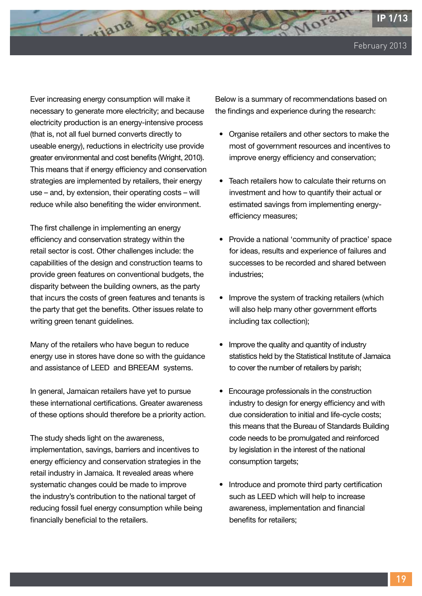Ever increasing energy consumption will make it necessary to generate more electricity; and because electricity production is an energy-intensive process (that is, not all fuel burned converts directly to useable energy), reductions in electricity use provide greater environmental and cost benefits (Wright, 2010). This means that if energy efficiency and conservation strategies are implemented by retailers, their energy use – and, by extension, their operating costs – will reduce while also benefiting the wider environment.

riana

The first challenge in implementing an energy efficiency and conservation strategy within the retail sector is cost. Other challenges include: the capabilities of the design and construction teams to provide green features on conventional budgets, the disparity between the building owners, as the party that incurs the costs of green features and tenants is the party that get the benefits. Other issues relate to writing green tenant guidelines.

Many of the retailers who have begun to reduce energy use in stores have done so with the guidance and assistance of LEED and BREEAM systems.

In general, Jamaican retailers have yet to pursue these international certifications. Greater awareness of these options should therefore be a priority action.

The study sheds light on the awareness, implementation, savings, barriers and incentives to energy efficiency and conservation strategies in the retail industry in Jamaica. It revealed areas where systematic changes could be made to improve the industry's contribution to the national target of reducing fossil fuel energy consumption while being financially beneficial to the retailers.

Below is a summary of recommendations based on the findings and experience during the research:

- Organise retailers and other sectors to make the most of government resources and incentives to improve energy efficiency and conservation;
- Teach retailers how to calculate their returns on investment and how to quantify their actual or estimated savings from implementing energyefficiency measures;
- Provide a national 'community of practice' space for ideas, results and experience of failures and successes to be recorded and shared between industries;
- Improve the system of tracking retailers (which will also help many other government efforts including tax collection);
- Improve the quality and quantity of industry statistics held by the Statistical Institute of Jamaica to cover the number of retailers by parish;
- Encourage professionals in the construction industry to design for energy efficiency and with due consideration to initial and life-cycle costs; this means that the Bureau of Standards Building code needs to be promulgated and reinforced by legislation in the interest of the national consumption targets:
- Introduce and promote third party certification such as LEED which will help to increase awareness, implementation and financial benefits for retailers: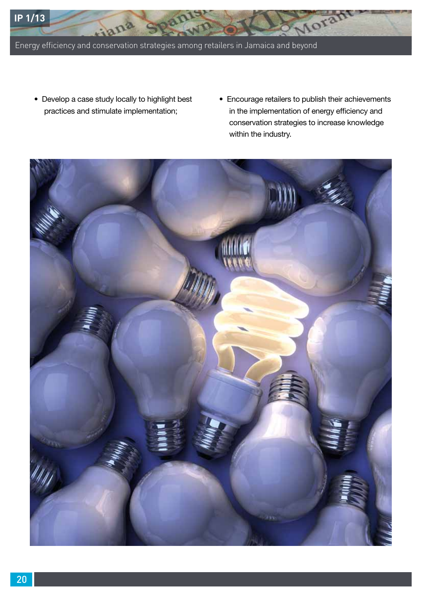• Develop a case study locally to highlight best practices and stimulate implementation;

ian

• Encourage retailers to publish their achievements in the implementation of energy efficiency and conservation strategies to increase knowledge within the industry.

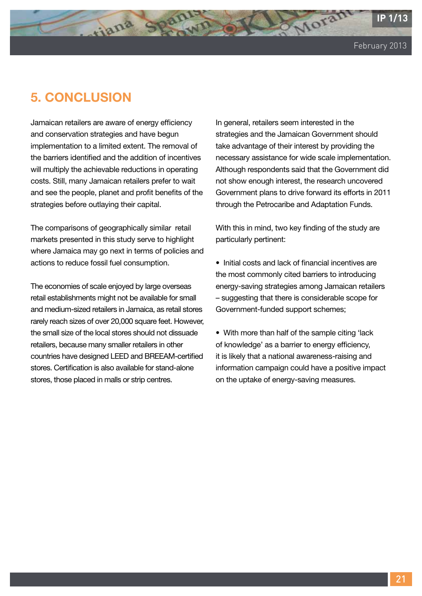# 5. CONCLUSION

Jamaican retailers are aware of energy efficiency and conservation strategies and have begun implementation to a limited extent. The removal of the barriers identified and the addition of incentives will multiply the achievable reductions in operating costs. Still, many Jamaican retailers prefer to wait and see the people, planet and profit benefits of the strategies before outlaying their capital.

The comparisons of geographically similar retail markets presented in this study serve to highlight where Jamaica may go next in terms of policies and actions to reduce fossil fuel consumption.

The economies of scale enjoyed by large overseas retail establishments might not be available for small and medium-sized retailers in Jamaica, as retail stores rarely reach sizes of over 20,000 square feet. However, the small size of the local stores should not dissuade retailers, because many smaller retailers in other countries have designed LEED and BREEAM-certified stores. Certification is also available for stand-alone stores, those placed in malls or strip centres.

In general, retailers seem interested in the strategies and the Jamaican Government should take advantage of their interest by providing the necessary assistance for wide scale implementation. Although respondents said that the Government did not show enough interest, the research uncovered Government plans to drive forward its efforts in 2011 through the Petrocaribe and Adaptation Funds.

With this in mind, two key finding of the study are particularly pertinent:

 $\bullet$  Initial costs and lack of financial incentives are the most commonly cited barriers to introducing energy-saving strategies among Jamaican retailers – suggesting that there is considerable scope for Government-funded support schemes;

• With more than half of the sample citing 'lack of knowledge' as a barrier to energy efficiency, it is likely that a national awareness-raising and information campaign could have a positive impact on the uptake of energy-saving measures.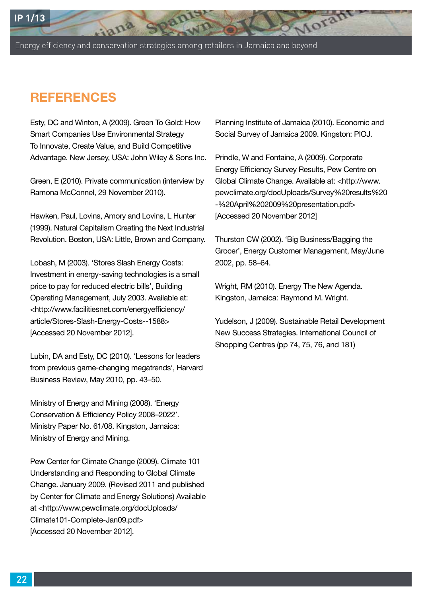## REFERENCES

Esty, DC and Winton, A (2009). Green To Gold: How Smart Companies Use Environmental Strategy To Innovate, Create Value, and Build Competitive Advantage. New Jersey, USA: John Wiley & Sons Inc.

Green, E (2010). Private communication (interview by Ramona McConnel, 29 November 2010).

Hawken, Paul, Lovins, Amory and Lovins, L Hunter (1999). Natural Capitalism Creating the Next Industrial Revolution. Boston, USA: Little, Brown and Company.

Lobash, M (2003). 'Stores Slash Energy Costs: Investment in energy-saving technologies is a small price to pay for reduced electric bills', Building Operating Management, July 2003. Available at: <http://www.facilitiesnet.com/energyefficiency/ article/Stores-Slash-Energy-Costs--1588> [Accessed 20 November 2012].

Lubin, DA and Esty, DC (2010). 'Lessons for leaders from previous game-changing megatrends', Harvard Business Review, May 2010, pp. 43–50.

Ministry of Energy and Mining (2008). 'Energy Conservation & Efficiency Policy 2008-2022'. Ministry Paper No. 61/08. Kingston, Jamaica: Ministry of Energy and Mining.

Pew Center for Climate Change (2009). Climate 101 Understanding and Responding to Global Climate Change. January 2009. (Revised 2011 and published by Center for Climate and Energy Solutions) Available at <http://www.pewclimate.org/docUploads/ Climate101-Complete-Jan09.pdf> [Accessed 20 November 2012].

Planning Institute of Jamaica (2010). Economic and Social Survey of Jamaica 2009. Kingston: PIOJ.

Prindle, W and Fontaine, A (2009). Corporate Energy Efficiency Survey Results, Pew Centre on Global Climate Change. Available at: <http://www. pewclimate.org/docUploads/Survey%20results%20 -%20April%202009%20presentation.pdf> [Accessed 20 November 2012]

Thurston CW (2002). 'Big Business/Bagging the Grocer', Energy Customer Management, May/June 2002, pp. 58–64.

Wright, RM (2010). Energy The New Agenda. Kingston, Jamaica: Raymond M. Wright.

Yudelson, J (2009). Sustainable Retail Development New Success Strategies. International Council of Shopping Centres (pp 74, 75, 76, and 181)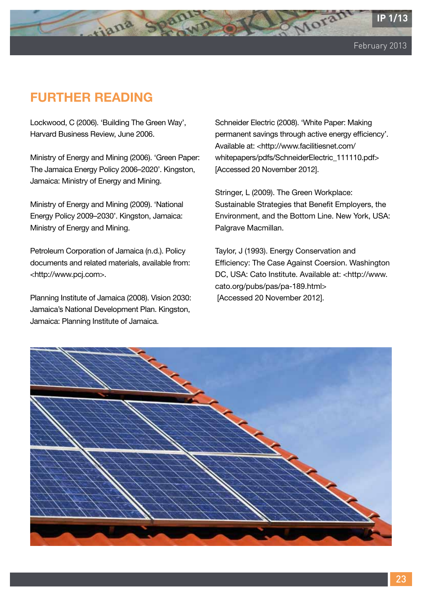# FURTHER READING

Lockwood, C (2006). 'Building The Green Way', Harvard Business Review, June 2006.

rian

Ministry of Energy and Mining (2006). 'Green Paper: The Jamaica Energy Policy 2006–2020'. Kingston, Jamaica: Ministry of Energy and Mining.

Ministry of Energy and Mining (2009). 'National Energy Policy 2009–2030'. Kingston, Jamaica: Ministry of Energy and Mining.

Petroleum Corporation of Jamaica (n.d.). Policy documents and related materials, available from: <http://www.pcj.com>.

Planning Institute of Jamaica (2008). Vision 2030: Jamaica's National Development Plan. Kingston, Jamaica: Planning Institute of Jamaica.

Schneider Electric (2008). 'White Paper: Making permanent savings through active energy efficiency'. Available at: <http://www.facilitiesnet.com/ whitepapers/pdfs/SchneiderElectric\_111110.pdf> [Accessed 20 November 2012].

Stringer, L (2009). The Green Workplace: Sustainable Strategies that Benefit Employers, the Environment, and the Bottom Line. New York, USA: Palgrave Macmillan.

Taylor, J (1993). Energy Conservation and Efficiency: The Case Against Coersion. Washington DC, USA: Cato Institute. Available at: <http://www. cato.org/pubs/pas/pa-189.html> [Accessed 20 November 2012].

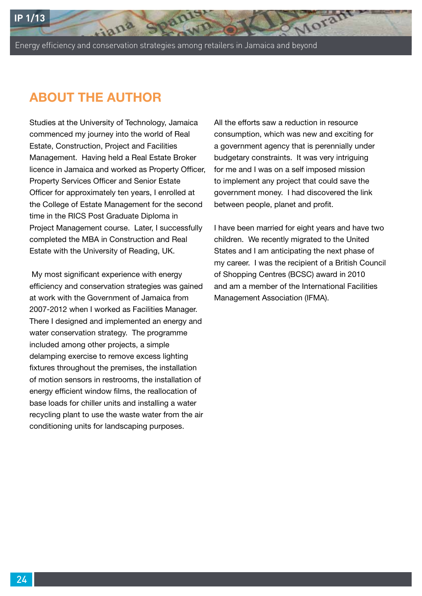# ABOUT THE AUTHOR

Studies at the University of Technology, Jamaica commenced my journey into the world of Real Estate, Construction, Project and Facilities Management. Having held a Real Estate Broker licence in Jamaica and worked as Property Officer, Property Services Officer and Senior Estate Officer for approximately ten years, I enrolled at the College of Estate Management for the second time in the RICS Post Graduate Diploma in Project Management course. Later, I successfully completed the MBA in Construction and Real Estate with the University of Reading, UK.

My most significant experience with energy efficiency and conservation strategies was gained at work with the Government of Jamaica from 2007-2012 when I worked as Facilities Manager. There I designed and implemented an energy and water conservation strategy. The programme included among other projects, a simple delamping exercise to remove excess lighting fixtures throughout the premises, the installation of motion sensors in restrooms, the installation of energy efficient window films, the reallocation of base loads for chiller units and installing a water recycling plant to use the waste water from the air conditioning units for landscaping purposes.

All the efforts saw a reduction in resource consumption, which was new and exciting for a government agency that is perennially under budgetary constraints. It was very intriguing for me and I was on a self imposed mission to implement any project that could save the government money. I had discovered the link between people, planet and profit.

I have been married for eight years and have two children. We recently migrated to the United States and I am anticipating the next phase of my career. I was the recipient of a British Council of Shopping Centres (BCSC) award in 2010 and am a member of the International Facilities Management Association (IFMA).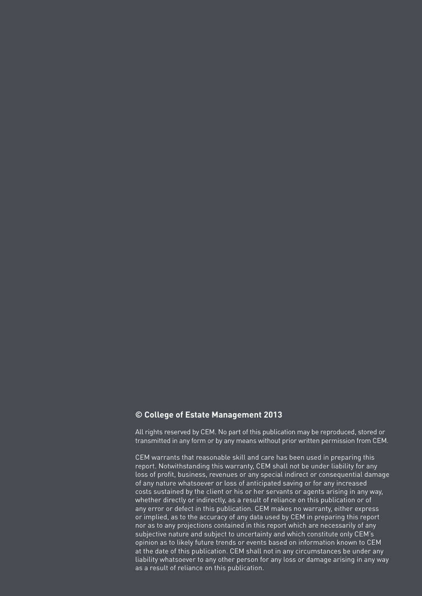#### **© College of Estate Management 2013**

All rights reserved by CEM. No part of this publication may be reproduced, stored or transmitted in any form or by any means without prior written permission from CEM.

CEM warrants that reasonable skill and care has been used in preparing this report. Notwithstanding this warranty, CEM shall not be under liability for any loss of profit, business, revenues or any special indirect or consequential damage of any nature whatsoever or loss of anticipated saving or for any increased costs sustained by the client or his or her servants or agents arising in any way, whether directly or indirectly, as a result of reliance on this publication or of any error or defect in this publication. CEM makes no warranty, either express or implied, as to the accuracy of any data used by CEM in preparing this report nor as to any projections contained in this report which are necessarily of any subjective nature and subject to uncertainty and which constitute only CEM's opinion as to likely future trends or events based on information known to CEM at the date of this publication. CEM shall not in any circumstances be under any liability whatsoever to any other person for any loss or damage arising in any way as a result of reliance on this publication.